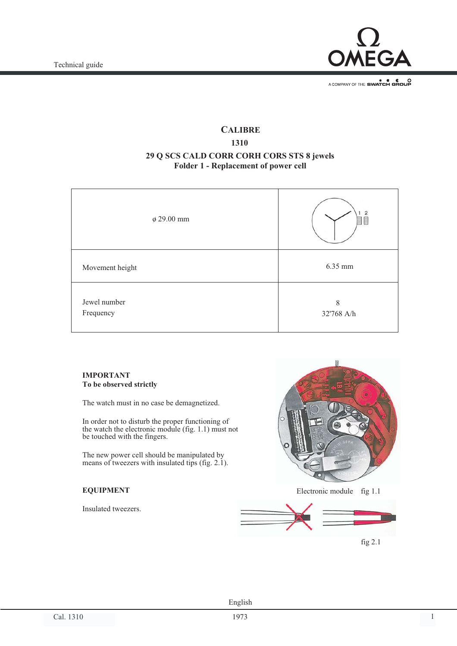

# **CALIBRE 1310 29 Q SCS CALD CORR CORH CORS STS 8 jewels Folder 1 - Replacement of power cell**

| $\phi$ 29.00 mm | $\overline{c}$<br>E |
|-----------------|---------------------|
| Movement height | 6.35 mm             |
| Jewel number    | 8                   |

#### **IMPORTANT To be observed strictly**

Frequency

The watch must in no case be demagnetized.

In order not to disturb the proper functioning of the watch the electronic module (fig. 1.1) must not be touched with the fingers.

The new power cell should be manipulated by means of tweezers with insulated tips (fig. 2.1).

## **EQUIPMENT**

Insulated tweezers.



32'768 A/h

fig 2.1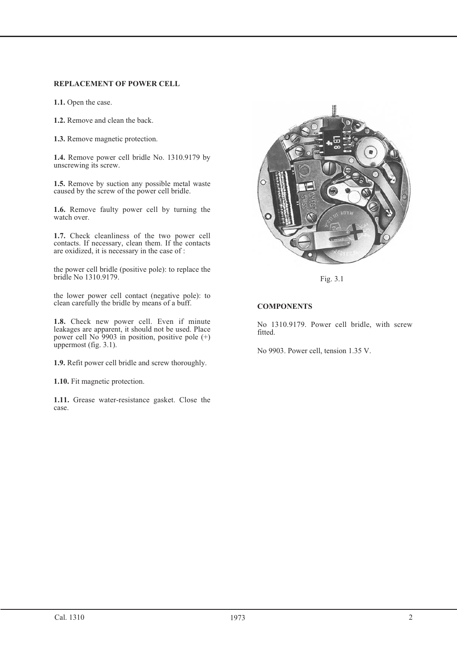## **REPLACEMENT OF POWER CELL**

**1.1.** Open the case.

**1.2.** Remove and clean the back.

**1.3.** Remove magnetic protection.

**1.4.** Remove power cell bridle No. 1310.9179 by unscrewing its screw.

**1.5.** Remove by suction any possible metal waste caused by the screw of the power cell bridle.

**1.6.** Remove faulty power cell by turning the watch over.

**1.7.** Check cleanliness of the two power cell contacts. If necessary, clean them. If the contacts are oxidized, it is necessary in the case of :

the power cell bridle (positive pole): to replace the bridle No 1310.9179.

the lower power cell contact (negative pole): to clean carefully the bridle by means of a buff.

**1.8.** Check new power cell. Even if minute leakages are apparent, it should not be used. Place power cell No 9903 in position, positive pole (+) uppermost (fig. 3.1).

**1.9.** Refit power cell bridle and screw thoroughly.

**1.10.** Fit magnetic protection.

**1.11.** Grease water-resistance gasket. Close the case.



Fig. 3.1

## **COMPONENTS**

No 1310.9179. Power cell bridle, with screw fitted.

No 9903. Power cell, tension 1.35 V.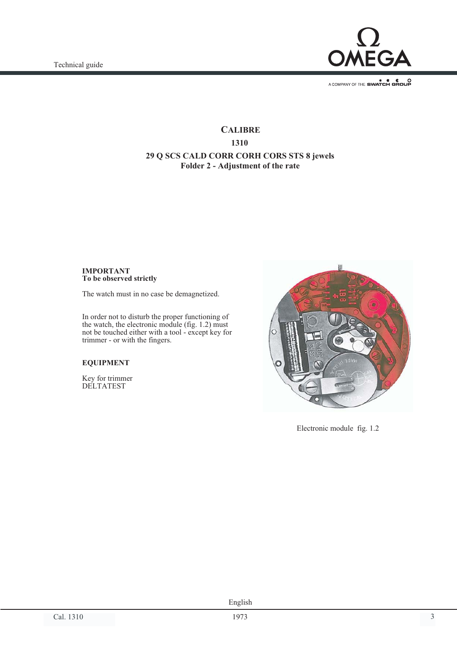

# **CALIBRE 1310 29 Q SCS CALD CORR CORH CORS STS 8 jewels Folder 2 - Adjustment of the rate**

#### **IMPORTANT To be observed strictly**

The watch must in no case be demagnetized.

In order not to disturb the proper functioning of the watch, the electronic module (fig. 1.2) must not be touched either with a tool - except key for trimmer - or with the fingers.

#### **EQUIPMENT**

Key for trimmer DELTATEST



Electronic module fig. 1.2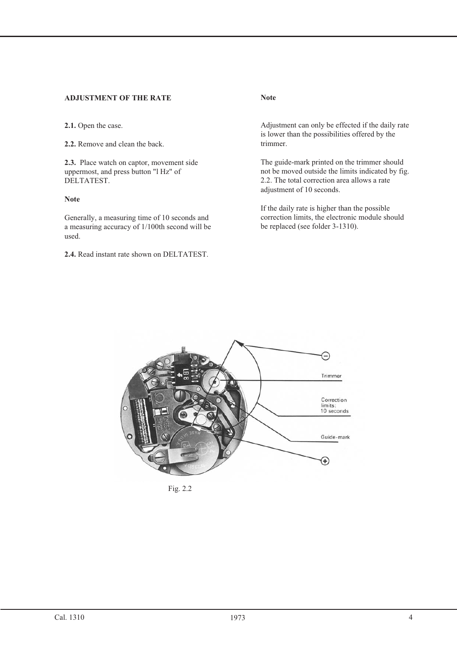## **ADJUSTMENT OF THE RATE**

**2.1.** Open the case.

**2.2.** Remove and clean the back.

**2.3.** Place watch on captor, movement side uppermost, and press button "l Hz" of DELTATEST.

## **Note**

Generally, a measuring time of 10 seconds and a measuring accuracy of 1/100th second will be used.

**2.4.** Read instant rate shown on DELTATEST.

**Note**

Adjustment can only be effected if the daily rate is lower than the possibilities offered by the trimmer.

The guide-mark printed on the trimmer should not be moved outside the limits indicated by fig. 2.2. The total correction area allows a rate adjustment of 10 seconds.

If the daily rate is higher than the possible correction limits, the electronic module should be replaced (see folder 3-1310).



Fig. 2.2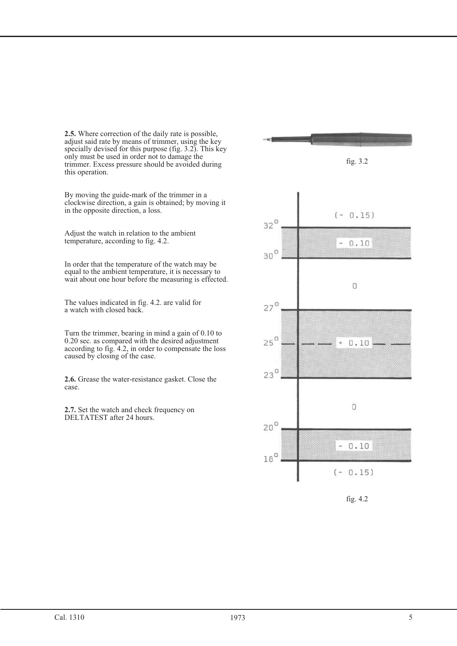**2.5.** Where correction of the daily rate is possible, adjust said rate by means of trimmer, using the key specially devised for this purpose (fig. 3.2). This key only must be used in order not to damage the trimmer. Excess pressure should be avoided during this operation.

By moving the guide-mark of the trimmer in a clockwise direction, a gain is obtained; by moving it in the opposite direction, a loss.

Adjust the watch in relation to the ambient temperature, according to fig. 4.2.

In order that the temperature of the watch may be equal to the ambient temperature, it is necessary to wait about one hour before the measuring is effected.

The values indicated in fig. 4.2. are valid for a watch with closed back.

Turn the trimmer, bearing in mind a gain of 0.10 to 0.20 sec. as compared with the desired adjustment according to fig. 4.2, in order to compensate the loss caused by closing of the case.

**2.6.** Grease the water-resistance gasket. Close the case.

**2.7.** Set the watch and check frequency on DELTATEST after 24 hours.



fig. 4.2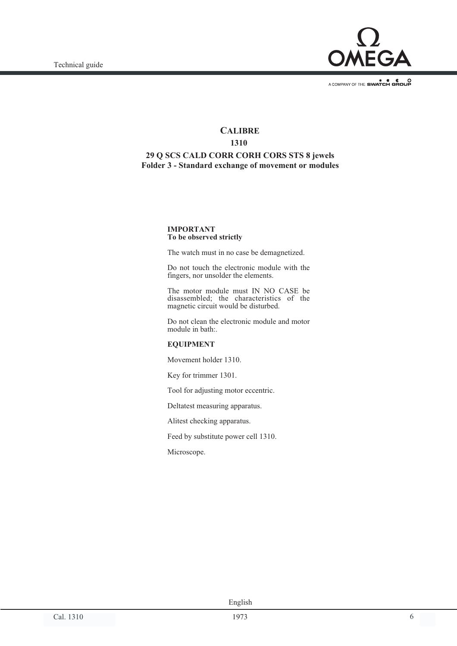

# **CALIBRE 1310 29 Q SCS CALD CORR CORH CORS STS 8 jewels Folder 3 - Standard exchange of movement or modules**

#### **IMPORTANT To be observed strictly**

The watch must in no case be demagnetized.

Do not touch the electronic module with the fingers, nor unsolder the elements.

The motor module must IN NO CASE be disassembled; the characteristics of the magnetic circuit would be disturbed.

Do not clean the electronic module and motor module in bath:.

#### **EQUIPMENT**

Movement holder 1310.

Key for trimmer 1301.

Tool for adjusting motor eccentric.

Deltatest measuring apparatus.

Alitest checking apparatus.

Feed by substitute power cell 1310.

Microscope.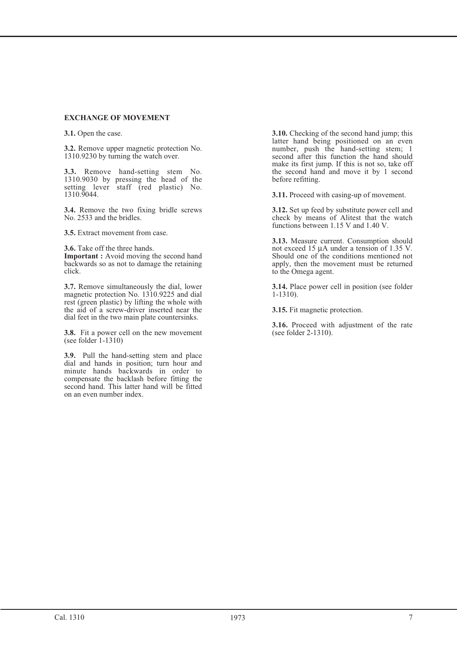#### **EXCHANGE OF MOVEMENT**

**3.1.** Open the case.

**3.2.** Remove upper magnetic protection No. 1310.9230 by turning the watch over.

**3.3.** Remove hand-setting stem No. 1310.9030 by pressing the head of the setting lever staff (red plastic) No. 1310.9044.

**3.4.** Remove the two fixing bridle screws No. 2533 and the bridles.

**3.5.** Extract movement from case.

**3.6.** Take off the three hands.

**Important :** Avoid moving the second hand backwards so as not to damage the retaining click.

**3.7.** Remove simultaneously the dial, lower magnetic protection No. 1310.9225 and dial rest (green plastic) by lifting the whole with the aid of a screw-driver inserted near the dial feet in the two main plate countersinks.

**3.8.** Fit a power cell on the new movement (see folder  $1-1310$ )

**3.9.** Pull the hand-setting stem and place dial and hands in position; turn hour and minute hands backwards in order to compensate the backlash before fitting the second hand. This latter hand will be fitted on an even number index.

**3.10.** Checking of the second hand jump; this latter hand being positioned on an even number, push the hand-setting stem; 1 second after this function the hand should make its first jump. If this is not so, take off the second hand and move it by 1 second before refitting.

**3.11.** Proceed with casing-up of movement.

**3.12.** Set up feed by substitute power cell and check by means of Alitest that the watch functions between 1.15 V and 1.40 V.

**3.13.** Measure current. Consumption should not exceed 15 µA under a tension of 1.35 V. Should one of the conditions mentioned not apply, then the movement must be returned to the Omega agent.

**3.14.** Place power cell in position (see folder 1-1310).

**3.15.** Fit magnetic protection.

**3.16.** Proceed with adjustment of the rate (see folder 2-1310).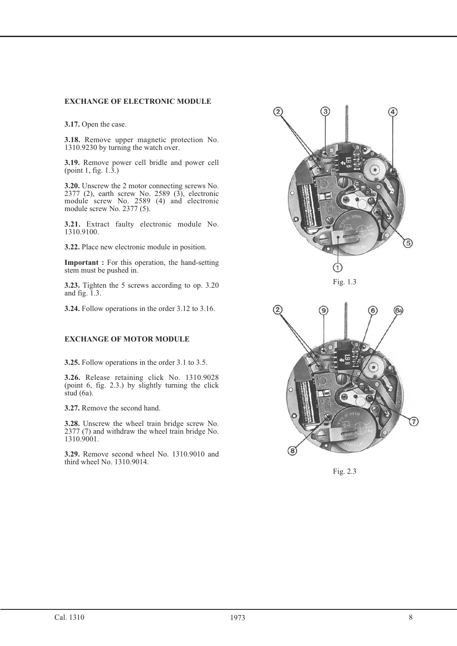#### **EXCHANGE OF ELECTRONIC MODULE**

**3.17.** Open the case.

**3.18.** Remove upper magnetic protection No. 1310.9230 by turning the watch over.

**3.19.** Remove power cell bridle and power cell (point 1, fig. 1.3.)

**3.20.** Unscrew the 2 motor connecting screws No. 2377 (2), earth screw No. 2589 (3), electronic module screw No. 2589 (4) and electronic module screw No. 2377 (5).

**3.21.** Extract faulty electronic module No. 1310.9100.

**3.22.** Place new electronic module in position.

**Important :** For this operation, the hand-setting stem must be pushed in.

**3.23.** Tighten the 5 screws according to op. 3.20 and fig. 1.3.

**3.24.** Follow operations in the order 3.12 to 3.16.

#### **EXCHANGE OF MOTOR MODULE**

**3.25.** Follow operations in the order 3.1 to 3.5.

**3.26.** Release retaining click No. 1310.9028 (point 6, fig. 2.3.) by slightly turning the click stud (6a).

**3.27.** Remove the second hand.

**3.28.** Unscrew the wheel train bridge screw No. 2377 (7) and withdraw the wheel train bridge No. 1310.9001.

**3.29.** Remove second wheel No. 1310.9010 and third wheel No. 1310.9014.



Fig. 1.3



Fig. 2.3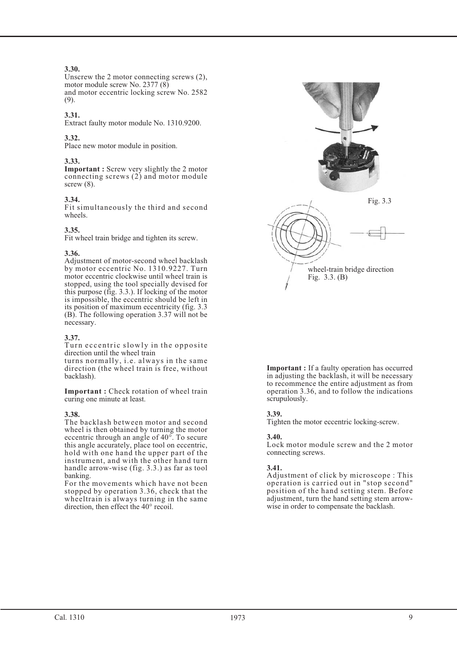## **3.30.**

Unscrew the 2 motor connecting screws (2), motor module screw No. 2377 (8) and motor eccentric locking screw No. 2582 (9).

## **3.31.**

Extract faulty motor module No. 1310.9200.

#### **3.32.**

Place new motor module in position.

#### **3.33.**

**Important :** Screw very slightly the 2 motor connecting screws (2) and motor module screw  $(8)$ .

#### **3.34.**

Fit simultaneously the third and second wheels.

#### **3.35.**

Fit wheel train bridge and tighten its screw.

#### **3.36.**

Adjustment of motor-second wheel backlash by motor eccentric No. 1310.9227. Turn motor eccentric clockwise until wheel train is stopped, using the tool specially devised for this purpose (fig. 3.3.). If locking of the motor is impossible, the eccentric should be left in its position of maximum eccentricity (fig. 3.3 (B). The following operation 3.37 will not be necessary.

#### **3.37.**

Turn eccentric slowly in the opposite direction until the wheel train

turns normally, i.e. always in the same direction (the wheel train is free, without backlash).

**Important :** Check rotation of wheel train curing one minute at least.

#### **3.38.**

The backlash between motor and second wheel is then obtained by turning the motor eccentric through an angle of 40°. To secure this angle accurately, place tool on eccentric, hold with one hand the upper part of the instrument, and with the other hand turn handle arrow-wise (fig. 3.3.) as far as tool banking.

For the movements which have not been stopped by operation 3.36, check that the wheeltrain is always turning in the same direction, then effect the 40° recoil.



**Important :** If a faulty operation has occurred in adjusting the backlash, it will be necessary to recommence the entire adjustment as from operation 3.36, and to follow the indications scrupulously.

#### **3.39.**

Tighten the motor eccentric locking-screw.

#### **3.40.**

Lock motor module screw and the 2 motor connecting screws.

#### **3.41.**

Adjustment of click by microscope : This operation is carried out in "stop second" position of the hand setting stem. Before adjustment, turn the hand setting stem arrowwise in order to compensate the backlash.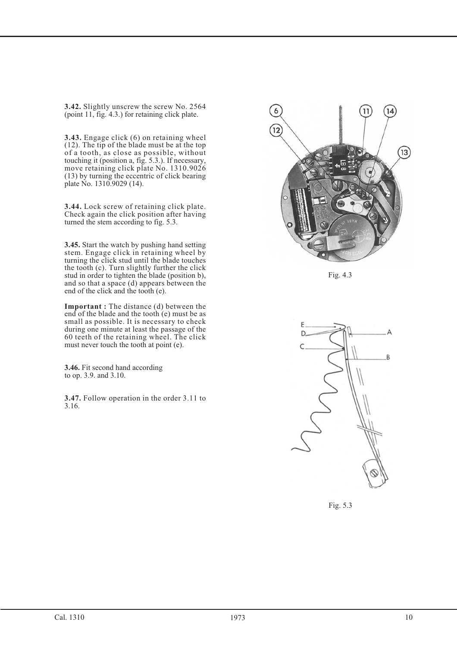**3.42.** Slightly unscrew the screw No. 2564 (point 11, fig. 4.3.) for retaining click plate.

**3.43.** Engage click (6) on retaining wheel (12). The tip of the blade must be at the top of a tooth, as close as possible, without touching it (position a, fig. 5.3.). If necessary, move retaining click plate No. 1310.9026 (13) by turning the eccentric of click bearing plate No. 1310.9029 (14).

**3.44.** Lock screw of retaining click plate. Check again the click position after having turned the stem according to fig. 5.3.

**3.45.** Start the watch by pushing hand setting stem. Engage click in retaining wheel by turning the click stud until the blade touches the tooth (c). Turn slightly further the click stud in order to tighten the blade (position b), and so that a space (d) appears between the end of the click and the tooth (e).

**Important :** The distance (d) between the end of the blade and the tooth (e) must be as small as possible. It is necessary to check during one minute at least the passage of the 60 teeth of the retaining wheel. The click must never touch the tooth at point (e).

**3.46.** Fit second hand according to op. 3.9. and 3.10.

**3.47.** Follow operation in the order 3.11 to 3.16.



Fig. 4.3



Fig. 5.3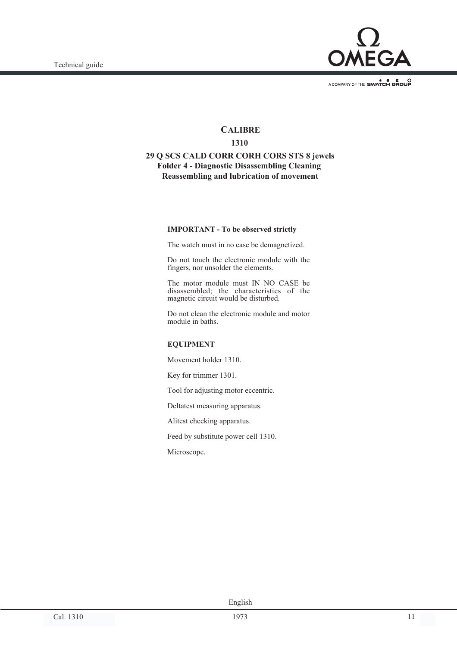

## **CALIBRE**

### **1310**

## **29 Q SCS CALD CORR CORH CORS STS 8 jewels Folder 4 - Diagnostic Disassembling Cleaning Reassembling and lubrication of movement**

#### **IMPORTANT - To be observed strictly**

The watch must in no case be demagnetized.

Do not touch the electronic module with the fingers, nor unsolder the elements.

The motor module must IN NO CASE be disassembled; the characteristics of the magnetic circuit would be disturbed.

Do not clean the electronic module and motor module in baths.

#### **EQUIPMENT**

Movement holder 1310.

Key for trimmer 1301.

Tool for adjusting motor eccentric.

Deltatest measuring apparatus.

Alitest checking apparatus.

Feed by substitute power cell 1310.

Microscope.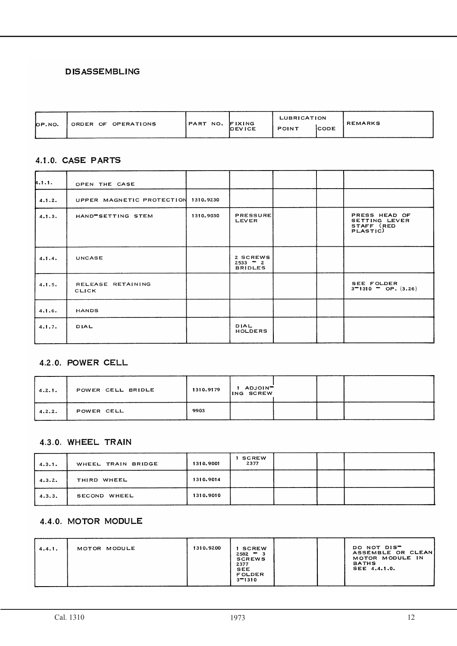# **DISASSEMBLING**

| OP.NO. | ORDER OF OPERATIONS | IPART NO. | FIXING | LUBRICATION  |             | <b>REMARKS</b> |
|--------|---------------------|-----------|--------|--------------|-------------|----------------|
|        |                     |           | DEVICE | <b>POINT</b> | <b>CODE</b> |                |

## 4.1.0. CASE PARTS

| 4.1.1. | OPEN THE CASE              |           |                                          |  |                                                          |
|--------|----------------------------|-----------|------------------------------------------|--|----------------------------------------------------------|
| 4.1.2. | UPPER MAGNETIC PROTECTION  | 1310.9230 |                                          |  |                                                          |
| 4.1.3. | HAND SETTING STEM          | 1310.9030 | <b>PRESSURE</b><br>LEVER                 |  | PRESS HEAD OF<br>SETTING LEVER<br>STAFF (RED<br>PLASTIC) |
| 4.1.4. | <b>UNCASE</b>              |           | 2 SCREWS<br>$2533 - 2$<br><b>BRIDLES</b> |  |                                                          |
| 4.1.5. | RELEASE RETAINING<br>CLICK |           |                                          |  | SEE FOLDER<br>$3-1310$ – OP. $(3.26)$                    |
| 4.1.6. | HANDS                      |           |                                          |  |                                                          |
| 4.1.7. | DIAL                       |           | DIAL<br>HOLDERS                          |  |                                                          |

# 4.2.0. POWER CELL

| 4.2.1. | POWER CELL BRIDLE | 1310.9179 | 1 ADJOINT |
|--------|-------------------|-----------|-----------|
| 4.2.2. | POWER CELL        | 9903      |           |

# 4.3.0. WHEEL TRAIN

| 4.3.1. | WHEEL TRAIN BRIDGE | 1310.9001 | <b>SCREW</b><br>2377 |  |  |
|--------|--------------------|-----------|----------------------|--|--|
| 4.3.2. | WHEEL<br>THIRD     | 1310.9014 |                      |  |  |
| 4.3.3. | SECOND WHEEL       | 1310.9010 |                      |  |  |

# 4.4.0. MOTOR MODULE

| 4.4.1. | MOTOR MODULE | 1310.9200 | <b>SCREW</b><br>$2582 - 3$<br><b>SCREWS</b><br>2377<br>SEE<br><b>FOLDER</b><br>$3 - 1310$ |  | DO NOT DIS <sup>-</sup><br>ASSEMBLE OR CLEAN<br>MOTOR MODULE IN<br><b>BATHS</b><br>SEE 4.4.1.0. |
|--------|--------------|-----------|-------------------------------------------------------------------------------------------|--|-------------------------------------------------------------------------------------------------|
|--------|--------------|-----------|-------------------------------------------------------------------------------------------|--|-------------------------------------------------------------------------------------------------|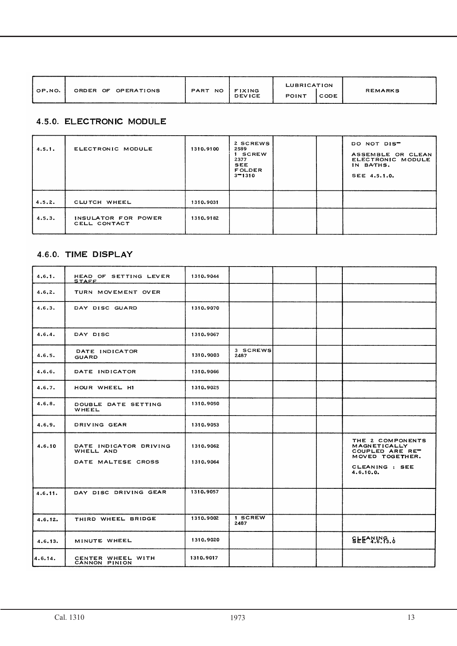| OP.NO. | ORDER OF OPERATIONS | <b>PART</b><br>NO. | <b>FIXING</b><br><b>DEVICE</b> | LUBRICATION<br><b>POINT</b> | CODE | REMARKS |
|--------|---------------------|--------------------|--------------------------------|-----------------------------|------|---------|
|--------|---------------------|--------------------|--------------------------------|-----------------------------|------|---------|

# 4.5.0. ELECTRONIC MODULE

| 4.5.1. | ELECTRONIC MODULE                   | 1310.9100 | 2 SCREWS<br>2589<br>1 SCREW<br>2377<br><b>SEE</b><br><b>FOLDER</b><br>$3 - 1310$ |  | DO NOT DIST<br>ASSEMBLE OR CLEAN<br>ELECTRONIC MODULE<br>IN BATHS.<br>SEE 4.5.1.0. |
|--------|-------------------------------------|-----------|----------------------------------------------------------------------------------|--|------------------------------------------------------------------------------------|
| 4.5.2. | CLUTCH WHEEL                        | 1310.9031 |                                                                                  |  |                                                                                    |
| 4.5.3. | INSULATOR FOR POWER<br>CELL CONTACT | 1310.9182 |                                                                                  |  |                                                                                    |

# 4.6.0. TIME DISPLAY

| 4, 6, 1. | HEAD OF SETTING LEVER<br><u>STAFF</u>                     | 1310.9044              |                  |  |                                                                                                       |
|----------|-----------------------------------------------------------|------------------------|------------------|--|-------------------------------------------------------------------------------------------------------|
| 4.6.2.   | TURN MOVEMENT OVER                                        |                        |                  |  |                                                                                                       |
| 4.6.3.   | DAY DISC GUARD                                            | 1310.9070              |                  |  |                                                                                                       |
| 4.6.4.   | DAY DISC                                                  | 1310.9067              |                  |  |                                                                                                       |
| 4.6.5.   | DATE INDICATOR<br>GUARD                                   | 1310,9003              | 3 SCREWS<br>2487 |  |                                                                                                       |
| 4.6.6.   | DATE INDICATOR                                            | 1310.9066              |                  |  |                                                                                                       |
| 4.6.7.   | HOUR WHEEL HI                                             | 1310.9025              |                  |  |                                                                                                       |
| 4.6.8.   | DOUBLE DATE SETTING<br>WHEEL                              | 1310.9050              |                  |  |                                                                                                       |
| 4.6.9.   | DRIVING GEAR                                              | 1310.9053              |                  |  |                                                                                                       |
| 4.6.10   | DATE INDICATOR DRIVING<br>WHELL AND<br>DATE MALTESE CROSS | 1310.9062<br>1310.9064 |                  |  | THE 2 COMPONENTS<br>MAGNETICALLY<br>COUPLED ARE RE"<br>MOVED TOGETHER.<br>CLEANING : SEE<br>4.6.10.0. |
| 4.6.11.  | DAY DISC DRIVING GEAR                                     | 1310.9057              |                  |  |                                                                                                       |
| 4.6.12.  | THIRD WHEEL BRIDGE                                        | 1310.9002              | 1 SCREW<br>2487  |  |                                                                                                       |
| 4.6.13.  | MINUTE WHEEL                                              | 1310.9020              |                  |  | $SEE^A$ <sup>N</sup> <sub>1</sub> <sup>8</sup> , $\delta$                                             |
| 4.6.14.  | CENTER WHEEL WITH<br>CANNON PINION                        | 1310.9017              |                  |  |                                                                                                       |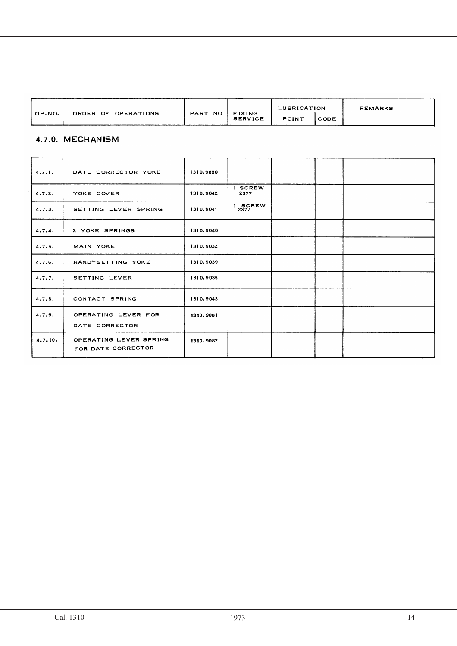|        | OPERATIONS<br>ORDER | <b>PART</b><br><b>NO</b> | <b>FIXING</b>  | LUBRICATION  |      | <b>REMARKS</b> |
|--------|---------------------|--------------------------|----------------|--------------|------|----------------|
| OP.NO. | OF                  |                          | <b>SERVICE</b> | <b>POINT</b> | CODE |                |

# 4.7.0. MECHANISM

| 4.7.1.  | DATE CORRECTOR YOKE                          | 1310.9080 |                 |  |  |
|---------|----------------------------------------------|-----------|-----------------|--|--|
| 4.7.2.  | YOKE COVER                                   | 1310.9042 | 1 SCREW<br>2377 |  |  |
| 4.7.3.  | SETTING LEVER SPRING                         | 1310.9041 | $1 \n2377$ REW  |  |  |
| 4.7.4.  | 2 YOKE SPRINGS                               | 1310.9040 |                 |  |  |
| 4.7.5.  | MAIN YOKE                                    | 1310.9032 |                 |  |  |
| 4.7.6.  | HAND-SETTING YOKE                            | 1310.9039 |                 |  |  |
| 4.7.7.  | SETTING LEVER                                | 1310.9035 |                 |  |  |
| 4.7.8.  | CONTACT SPRING                               | 1310.9043 |                 |  |  |
| 4.7.9.  | OPERATING LEVER FOR<br>DATE CORRECTOR        | 1310.9081 |                 |  |  |
| 4.7.10. | OPERATING LEVER SPRING<br>FOR DATE CORRECTOR | 1310.9082 |                 |  |  |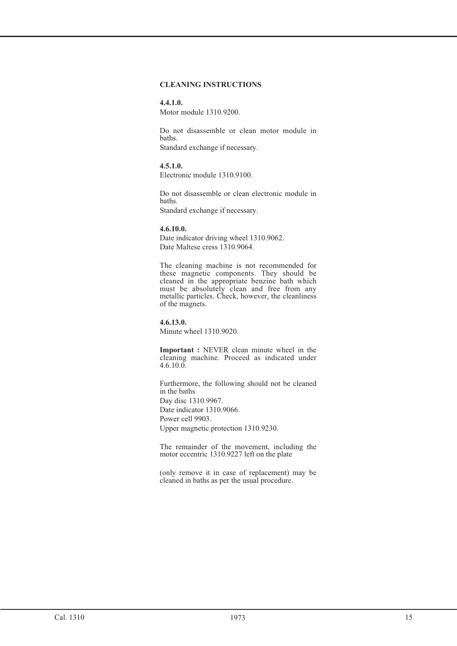#### **CLEANING INSTRUCTIONS**

#### **4.4.1.0.** Motor module 1310.9200.

Do not disassemble or clean motor module in baths. Standard exchange if necessary.

#### **4.5.1.0.**

Electronic module 1310.9100.

Do not disassemble or clean electronic module in baths. Standard exchange if necessary.

## **4.6.10.0.**

Date indicator driving wheel 1310.9062. Date Maltese cress 1310.9064.

The cleaning machine is not recommended for these magnetic components. They should be cleaned in the appropriate benzine bath which must be absolutely clean and free from any metallic particles. Check, however, the cleanliness of the magnets.

**4.6.13.0.** Minute wheel 1310.9020.

**Important :** NEVER clean minute wheel in the cleaning machine. Proceed as indicated under  $4.6.10.0.$ 

Furthermore, the following should not be cleaned in the baths Day disc 1310.9967. Date indicator 1310.9066. Power cell 9903. Upper magnetic protection 1310.9230.

The remainder of the movement, including the motor eccentric 1310.9227 left on the plate

(only remove it in case of replacement) may be cleaned in baths as per the usual procedure.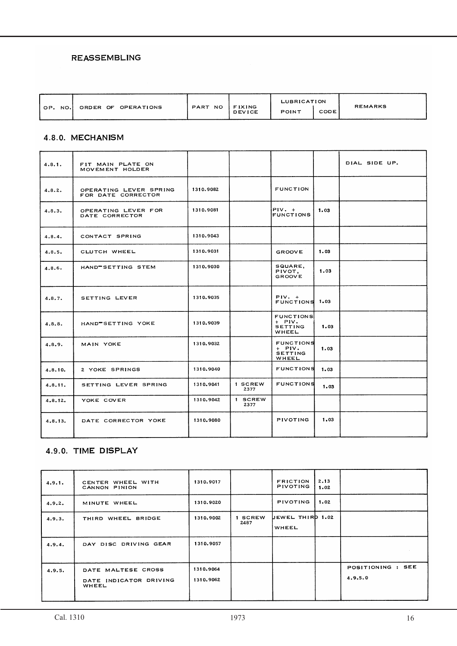## **REASSEMBLING**

| OP.<br>NO. | ORDER OF OPERATIONS | PART<br>NO. | <b>FIXING</b> | <b>LUBRICATION</b> |      | <b>REMARKS</b> |
|------------|---------------------|-------------|---------------|--------------------|------|----------------|
|            |                     |             | <b>DEVICE</b> | <b>POINT</b>       | CODE |                |

## 4.8.0. MECHANISM

| 4.8.1.   | FIT MAIN PLATE ON<br>MOVEMENT HOLDER         |           |                 |                                                         |      | DIAL SIDE UP. |
|----------|----------------------------------------------|-----------|-----------------|---------------------------------------------------------|------|---------------|
| 4.8.2.   | OPERATING LEVER SPRING<br>FOR DATE CORRECTOR | 1310.9082 |                 | <b>FUNCTION</b>                                         |      |               |
| 4.8.3.   | OPERATING LEVER FOR<br>DATE CORRECTOR        | 1310.9081 |                 | $PIV. +$<br><b>FUNCTIONS</b>                            | 1.03 |               |
| 4, 8, 4. | CONTACT SPRING                               | 1310.9043 |                 |                                                         |      |               |
| 4.8.5.   | CLUTCH WHEEL                                 | 1310.9031 |                 | <b>GROOVE</b>                                           | 1.03 |               |
| 4.8.6.   | HAND-SETTING STEM                            | 1310,9030 |                 | SQUARE,<br>PIVOT,<br><b>GROOVE</b>                      | 1.03 |               |
| 4.8.7.   | SETTING LEVER                                | 1310.9035 |                 | $PIV. +$<br>FUNCTIONS 1.03                              |      |               |
| 4.8.8.   | HAND SETTING YOKE                            | 1310.9039 |                 | <b>FUNCTIONS</b><br>$+$ PIV.<br><b>SETTING</b><br>WHEEL | 1.03 |               |
| 4.8.9.   | MAIN YOKE                                    | 1310.9032 |                 | <b>FUNCTIONS</b><br>$+$ PIV.<br><b>SETTING</b><br>WHEEL | 1.03 |               |
| 4.8.10.  | 2 YOKE SPRINGS                               | 1310.9040 |                 | <b>FUNCTIONS</b>                                        | 1.03 |               |
| 4.8.11.  | SETTING LEVER SPRING                         | 1310.9041 | 1 SCREW<br>2377 | <b>FUNCTIONS</b>                                        | 1.03 |               |
| 4.8.12.  | YOKE COVER                                   | 1310.9042 | 1 SCREW<br>2377 |                                                         |      |               |
| 4.8.13.  | DATE CORRECTOR YOKE                          | 1310.9080 |                 | <b>PIVOTING</b>                                         | 1.03 |               |

# 4.9.0. TIME DISPLAY

| 4.9.1. | CENTER WHEEL WITH<br>CANNON PINION                    | 1310.9017              |                 | <b>FRICTION</b><br>PIVOTING | 2.13<br>1.02 |                              |
|--------|-------------------------------------------------------|------------------------|-----------------|-----------------------------|--------------|------------------------------|
| 4.9.2. | MINUTE WHEEL                                          | 1310.9020              |                 | <b>PIVOTING</b>             | 1.02         |                              |
| 4.9.3. | THIRD WHEEL BRIDGE                                    | 1310.9002              | 1 SCREW<br>2487 | UEWEL THIRD 1.02<br>WHEEL   |              |                              |
| 4.9.4. | DAY DISC DRIVING GEAR                                 | 1310.9057              |                 |                             |              |                              |
| 4.9.5. | DATE MALTESE CROSS<br>DATE INDICATOR DRIVING<br>WHEEL | 1310.9064<br>1310.9062 |                 |                             |              | POSITIONING : SEE<br>4.9.5.0 |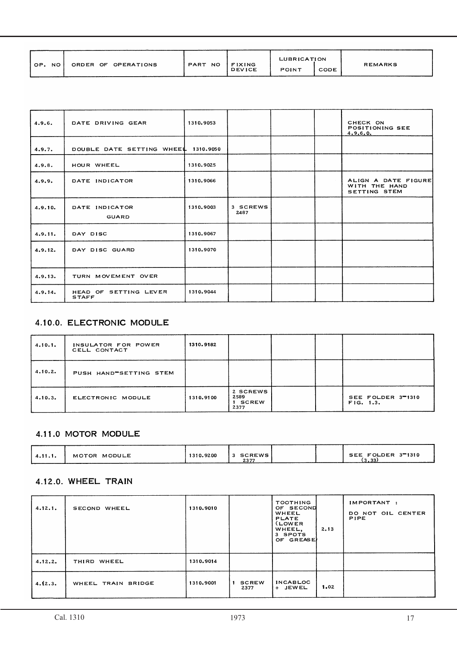|                  |                     |         |                                | LUBRICATION |      | <b>REMARKS</b> |
|------------------|---------------------|---------|--------------------------------|-------------|------|----------------|
| OP.<br><b>NO</b> | ORDER OF OPERATIONS | PART NO | <b>FIXING</b><br><b>DEVICE</b> | POINT       | CODE |                |

| 4.9.6.  | DATE DRIVING GEAR                        | 1310.9053 |                  |  | CHECK ON<br>POSITIONING SEE<br>4.9.6.0.              |
|---------|------------------------------------------|-----------|------------------|--|------------------------------------------------------|
| 4.9.7.  | DOUBLE DATE SETTING WHEEL 1310.9050      |           |                  |  |                                                      |
| 4.9.8.  | HOUR WHEEL                               | 1310.9025 |                  |  |                                                      |
| 4.9.9.  | DATE INDICATOR                           | 1310,9066 |                  |  | ALIGN A DATE FIGURE<br>WITH THE HAND<br>SETTING STEM |
| 4.9.10. | DATE INDICATOR<br>GUARD                  | 1310.9003 | 3 SCREWS<br>2487 |  |                                                      |
| 4.9.11. | DAY DISC                                 | 1310.9067 |                  |  |                                                      |
| 4.9.12. | DAY DISC GUARD                           | 1310.9070 |                  |  |                                                      |
| 4.9.13. | TURN MOVEMENT OVER                       |           |                  |  |                                                      |
| 4.9.14. | SETTING LEVER<br>HEAD OF<br><b>STAFF</b> | 1310.9044 |                  |  |                                                      |

# 4.10.0. ELECTRONIC MODULE

| 4.10.1. | INSULATOR FOR POWER<br>CELL CONTACT | 1310.9182 |                                     |  |                                |
|---------|-------------------------------------|-----------|-------------------------------------|--|--------------------------------|
| 4.10.2. | PUSH HAND SETTING STEM              |           |                                     |  |                                |
| 4.10.3. | ELECTRONIC MODULE                   | 1310.9100 | 2 SCREWS<br>2589<br>1 SCREW<br>2377 |  | SEE FOLDER 3-1310<br>FIG. 1.3. |

# 4.11.0 MOTOR MODULE

| 4.11.1. | MOTOR MODULE | 1310.9200 | 3 SCREWS<br>2377 |  | SEE FOLDER 3-1310<br>່າາ<br>. |
|---------|--------------|-----------|------------------|--|-------------------------------|
|         |              |           |                  |  |                               |

## 4.12.0. WHEEL TRAIN

| 4.12.1. | SECOND WHEEL       | 1310.9010 |                            | <b>TOOTHING</b><br>OF SECOND<br>WHEEL<br><b>PLATE</b><br>(LOWER)<br>WHEEL,<br>3 SPOTS<br>OF GREASE) | 2.13 | IMPORTANT:<br>DO NOT OIL CENTER<br><b>PIPE</b> |
|---------|--------------------|-----------|----------------------------|-----------------------------------------------------------------------------------------------------|------|------------------------------------------------|
| 4.12.2. | THIRD WHEEL        | 1310.9014 |                            |                                                                                                     |      |                                                |
| 4.12.3. | WHEEL TRAIN BRIDGE | 1310.9001 | <b>SCREW</b><br>1.<br>2377 | <b>INCABLOC</b><br>+ JEWEL                                                                          | 1.02 |                                                |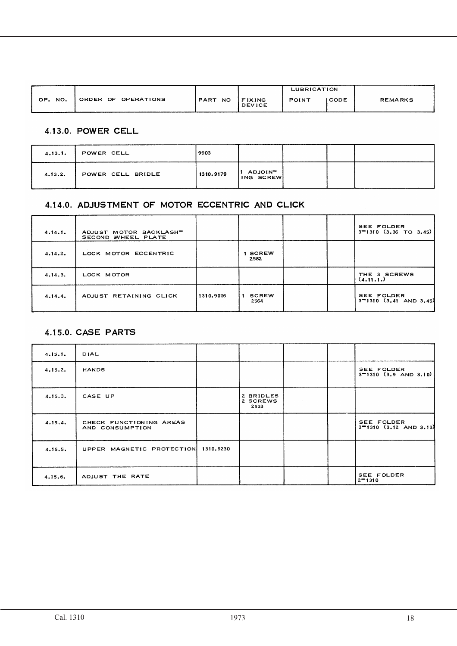|         |                     |         |                         | LUBRICATION  |        |                |
|---------|---------------------|---------|-------------------------|--------------|--------|----------------|
| OP. NO. | ORDER OF OPERATIONS | PART NO | FIXING<br><b>DEVICE</b> | <b>POINT</b> | I CODE | <b>REMARKS</b> |

# 4.13.0. POWER CELL

| 4.13.1. | POWER CELL        | 9903      |                                  |  |  |
|---------|-------------------|-----------|----------------------------------|--|--|
| 4.13.2. | POWER CELL BRIDLE | 1310.9179 | ADJOIN <sup>-</sup><br>ING SCREW |  |  |

# 4.14.0. ADJUSTMENT OF MOTOR ECCENTRIC AND CLICK

| 4.14.1. | ADJUST MOTOR BACKLASHT<br>SECOND WHEEL PLATE |           |                      |  | SEE FOLDER<br>$3 - 1310$ (3.36 TO 3.45)         |
|---------|----------------------------------------------|-----------|----------------------|--|-------------------------------------------------|
| 4.14.2. | LOCK MOTOR ECCENTRIC                         |           | <b>SCREW</b><br>2582 |  |                                                 |
| 4.14.3. | LOCK MOTOR                                   |           |                      |  | THE 3 SCREWS<br>(4.11.1.)                       |
| 4.14.4. | ADJUST RETAINING CLICK                       | 1310.9026 | <b>SCREW</b><br>2564 |  | <b>SEE FOLDER</b><br>$3 - 1310$ (3.41 AND 3.45) |

# 4.15.0. CASE PARTS

| 4.15.1. | DIAL                                       |           |                               |  |                                          |
|---------|--------------------------------------------|-----------|-------------------------------|--|------------------------------------------|
| 4.15.2. | <b>HANDS</b>                               |           |                               |  | SEE FOLDER<br>$3 - 1310$ (3.9 AND 3.10)  |
| 4.15.3. | CASE UP                                    |           | 2 BRIDLES<br>2 SCREWS<br>2533 |  |                                          |
| 4.15.4. | CHECK FUNCTIONING AREAS<br>AND CONSUMPTION |           |                               |  | SEE FOLDER<br>$3 - 1310$ (3.12 AND 3.13) |
| 4.15.5. | UPPER MAGNETIC PROTECTION                  | 1310.9230 |                               |  |                                          |
| 4.15.6. | ADJUST THE RATE                            |           |                               |  | SEE FOLDER<br>$2 - 1310$                 |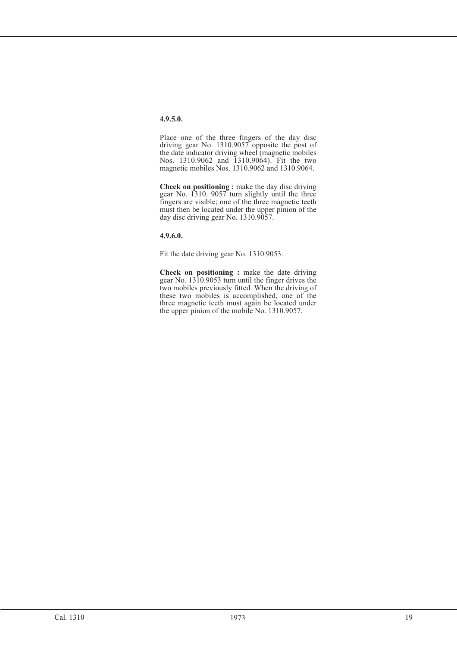Place one of the three fingers of the day disc driving gear No. 1310.9057 opposite the post of the date indicator driving wheel (magnetic mobiles Nos. 1310.9062 and 1310.9064). Fit the two magnetic mobiles Nos. 1310.9062 and 1310.9064.

**Check on positioning :** make the day disc driving gear No. 1310. 9057 turn slightly until the three fingers are visible; one of the three magnetic teeth must then be located under the upper pinion of the day disc driving gear No. 1310.9057.

**4.9.6.0.**

Fit the date driving gear No. 1310.9053.

**Check on positioning :** make the date driving gear No. 1310.9053 turn until the finger drives the two mobiles previously fitted. When the driving of these two mobiles is accomplished, one of the three magnetic teeth must again be located under the upper pinion of the mobile No. 1310.9057.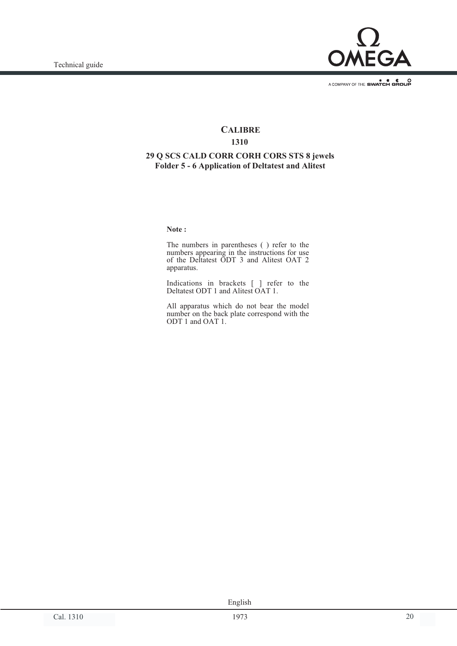

# **CALIBRE**

# **1310**

# **29 Q SCS CALD CORR CORH CORS STS 8 jewels Folder 5 - 6 Application of Deltatest and Alitest**

**Note :**

The numbers in parentheses ( ) refer to the numbers appearing in the instructions for use of the Deltatest ODT 3 and Alitest OAT 2 apparatus.

Indications in brackets [ ] refer to the Deltatest ODT 1 and Alitest OAT 1.

All apparatus which do not bear the model number on the back plate correspond with the ODT 1 and OAT 1.

Cal. 1310 20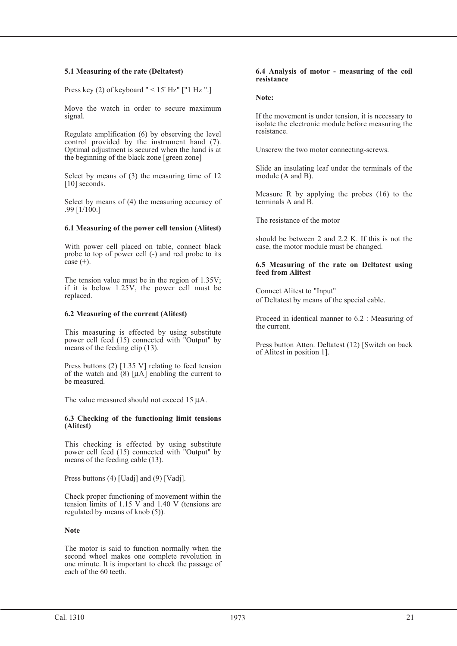#### **5.1 Measuring of the rate (Deltatest)**

Press key  $(2)$  of keyboard " < 15' Hz" ["1 Hz ".]

Move the watch in order to secure maximum signal.

Regulate amplification (6) by observing the level control provided by the instrument hand (7). Optimal adjustment is secured when the hand is at the beginning of the black zone [green zone]

Select by means of (3) the measuring time of 12 [10] seconds.

Select by means of (4) the measuring accuracy of .99 [1/100.]

#### **6.1 Measuring of the power cell tension (Alitest)**

With power cell placed on table, connect black probe to top of power cell (-) and red probe to its case  $(+)$ .

The tension value must be in the region of 1.35V; if it is below 1.25V, the power cell must be replaced.

#### **6.2 Measuring of the current (Alitest)**

This measuring is effected by using substitute power cell feed (15) connected with "Output" by means of the feeding clip (13).

Press buttons (2) [1.35 V] relating to feed tension of the watch and  $(8)$  [ $\mu$ A] enabling the current to be measured.

The value measured should not exceed 15 µA.

#### **6.3 Checking of the functioning limit tensions (Alitest)**

This checking is effected by using substitute power cell feed (15) connected with "Output" by means of the feeding cable (13).

Press buttons (4) [Uadj] and (9) [Vadj].

Check proper functioning of movement within the tension limits of 1.15 V and 1.40 V (tensions are regulated by means of knob (5)).

#### **Note**

The motor is said to function normally when the second wheel makes one complete revolution in one minute. It is important to check the passage of each of the 60 teeth.

#### **6.4 Analysis of motor - measuring of the coil resistance**

**Note:**

If the movement is under tension, it is necessary to isolate the electronic module before measuring the resistance.

Unscrew the two motor connecting-screws.

Slide an insulating leaf under the terminals of the module (A and B).

Measure R by applying the probes (16) to the terminals A and B.

The resistance of the motor

should be between 2 and 2.2 K. If this is not the case, the motor module must be changed.

#### **6.5 Measuring of the rate on Deltatest using feed from Alitest**

Connect Alitest to "Input" of Deltatest by means of the special cable.

Proceed in identical manner to 6.2 : Measuring of the current.

Press button Atten. Deltatest (12) [Switch on back of Alitest in position 1].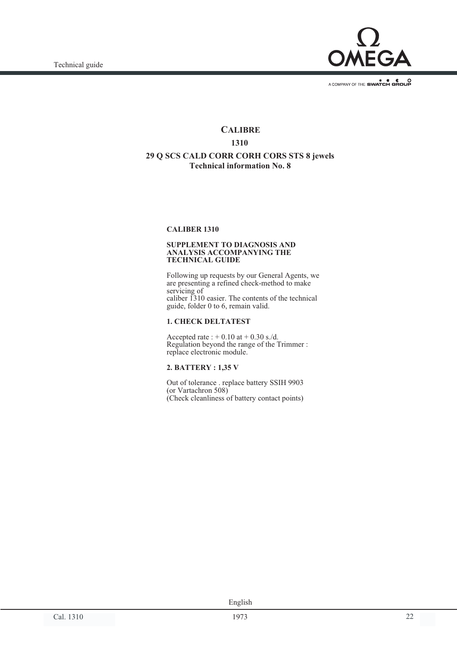

# **CALIBRE 1310 29 Q SCS CALD CORR CORH CORS STS 8 jewels Technical information No. 8**

#### **CALIBER 1310**

#### **SUPPLEMENT TO DIAGNOSIS AND ANALYSIS ACCOMPANYING THE TECHNICAL GUIDE**

Following up requests by our General Agents, we are presenting a refined check-method to make servicing of caliber 1310 easier. The contents of the technical guide, folder 0 to 6, remain valid.

#### **1. CHECK DELTATEST**

Accepted rate :  $+ 0.10$  at  $+ 0.30$  s./d. Regulation beyond the range of the Trimmer : replace electronic module.

#### **2. BATTERY : 1,35 V**

Out of tolerance . replace battery SSIH 9903 (or Vartachron 508) (Check cleanliness of battery contact points)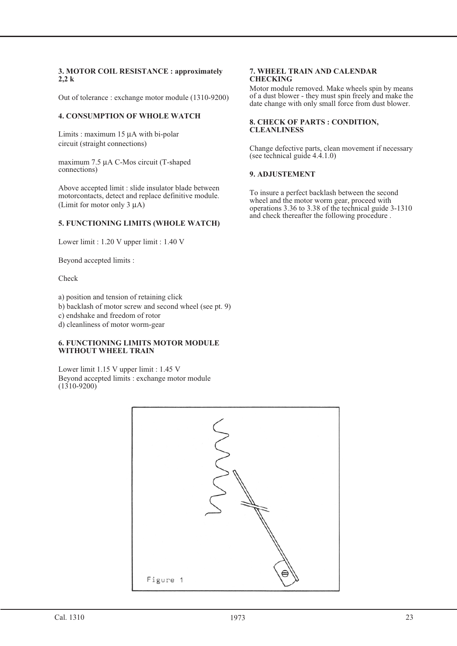#### **3. MOTOR COIL RESISTANCE : approximately 2,2 k**

Out of tolerance : exchange motor module (1310-9200)

#### **4. CONSUMPTION OF WHOLE WATCH**

Limits : maximum 15 µA with bi-polar circuit (straight connections)

maximum 7.5 µA C-Mos circuit (T-shaped connections)

Above accepted limit : slide insulator blade between motorcontacts, detect and replace definitive module. (Limit for motor only 3 µA)

#### **5. FUNCTIONING LIMITS (WHOLE WATCH)**

Lower limit : 1.20 V upper limit : 1.40 V

Beyond accepted limits :

Check

a) position and tension of retaining click

b) backlash of motor screw and second wheel (see pt. 9)

c) endshake and freedom of rotor

d) cleanliness of motor worm-gear

#### **6. FUNCTIONING LIMITS MOTOR MODULE WITHOUT WHEEL TRAIN**

Lower limit 1.15 V upper limit : 1.45 V Beyond accepted limits : exchange motor module  $(1310 - 9200)$ 

#### **7. WHEEL TRAIN AND CALENDAR CHECKING**

Motor module removed. Make wheels spin by means of a dust blower - they must spin freely and make the date change with only small force from dust blower.

#### **8. CHECK OF PARTS : CONDITION, CLEANLINESS**

Change defective parts, clean movement if necessary (see technical guide 4.4.1.0)

#### **9. ADJUSTEMENT**

To insure a perfect backlash between the second wheel and the motor worm gear, proceed with operations 3.36 to 3.38 of the technical guide 3-1310 and check thereafter the following procedure .